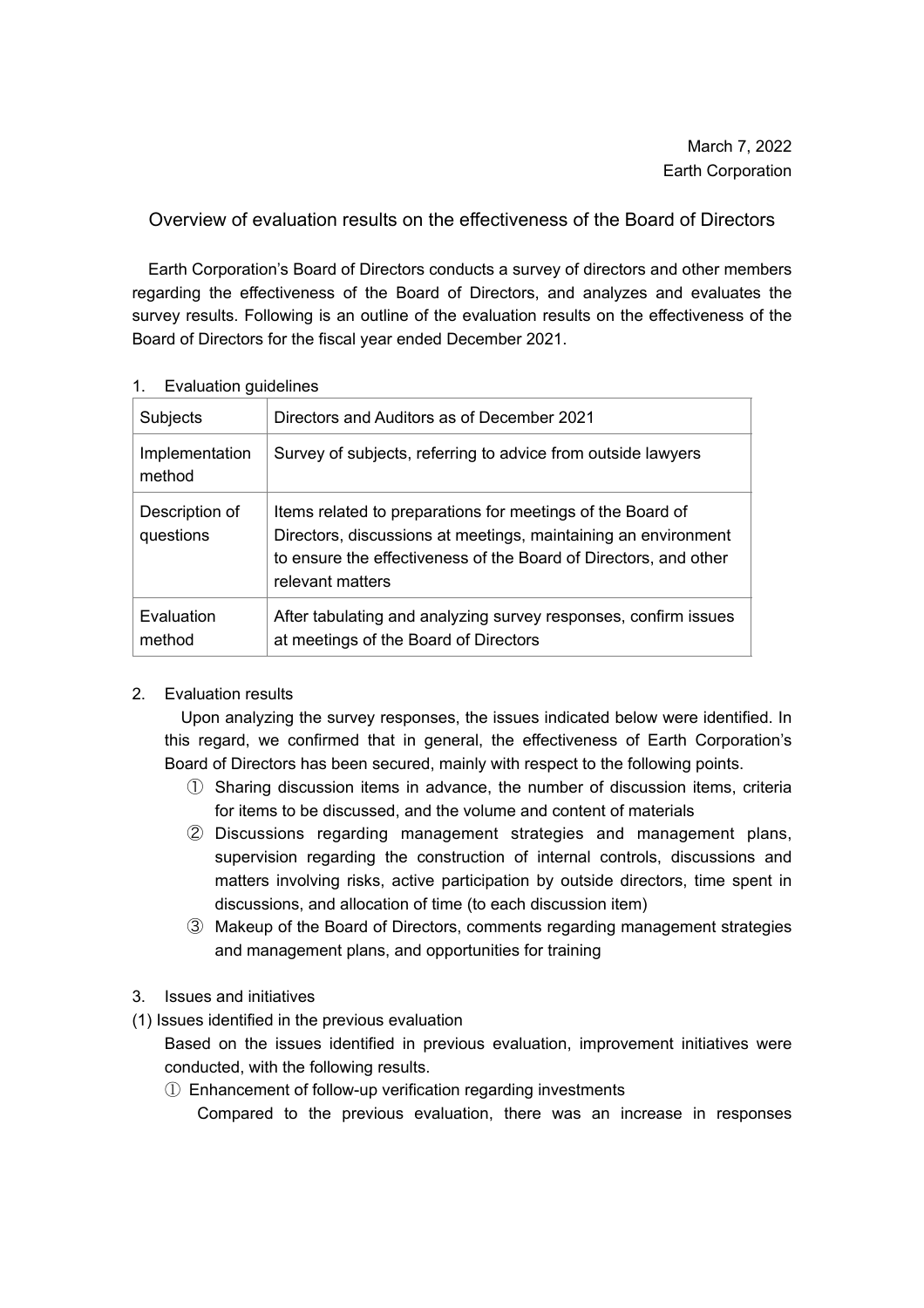## Overview of evaluation results on the effectiveness of the Board of Directors

Earth Corporation's Board of Directors conducts a survey of directors and other members regarding the effectiveness of the Board of Directors, and analyzes and evaluates the survey results. Following is an outline of the evaluation results on the effectiveness of the Board of Directors for the fiscal year ended December 2021.

| <b>Subjects</b>             | Directors and Auditors as of December 2021                                                                                                                                                                           |
|-----------------------------|----------------------------------------------------------------------------------------------------------------------------------------------------------------------------------------------------------------------|
| Implementation<br>method    | Survey of subjects, referring to advice from outside lawyers                                                                                                                                                         |
| Description of<br>questions | Items related to preparations for meetings of the Board of<br>Directors, discussions at meetings, maintaining an environment<br>to ensure the effectiveness of the Board of Directors, and other<br>relevant matters |
| Evaluation<br>method        | After tabulating and analyzing survey responses, confirm issues<br>at meetings of the Board of Directors                                                                                                             |

## 1. Evaluation guidelines

## 2. Evaluation results

Upon analyzing the survey responses, the issues indicated below were identified. In this regard, we confirmed that in general, the effectiveness of Earth Corporation's Board of Directors has been secured, mainly with respect to the following points.

- ① Sharing discussion items in advance, the number of discussion items, criteria for items to be discussed, and the volume and content of materials
- ② Discussions regarding management strategies and management plans, supervision regarding the construction of internal controls, discussions and matters involving risks, active participation by outside directors, time spent in discussions, and allocation of time (to each discussion item)
- ③ Makeup of the Board of Directors, comments regarding management strategies and management plans, and opportunities for training
- 3. Issues and initiatives
- (1) Issues identified in the previous evaluation
	- Based on the issues identified in previous evaluation, improvement initiatives were conducted, with the following results.
	- ① Enhancement of follow-up verification regarding investments Compared to the previous evaluation, there was an increase in responses